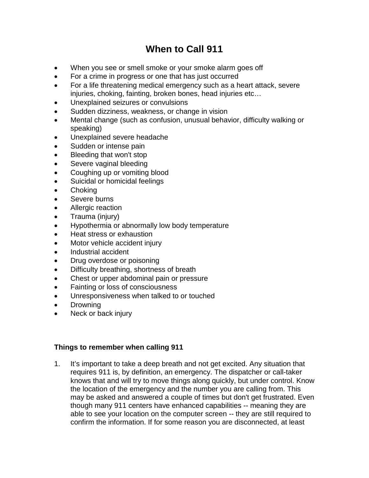# **When to Call 911**

- When you see or smell smoke or your smoke alarm goes off
- For a crime in progress or one that has just occurred
- For a life threatening medical emergency such as a heart attack, severe injuries, choking, fainting, broken bones, head injuries etc…
- Unexplained seizures or convulsions
- Sudden dizziness, weakness, or change in vision
- Mental change (such as confusion, unusual behavior, difficulty walking or speaking)
- Unexplained severe headache
- Sudden or intense pain
- Bleeding that won't stop
- Severe vaginal bleeding
- Coughing up or vomiting blood
- Suicidal or homicidal feelings
- Choking
- Severe burns
- Allergic reaction
- Trauma (injury)
- Hypothermia or abnormally low body temperature
- Heat stress or exhaustion
- Motor vehicle accident injury
- Industrial accident
- Drug overdose or poisoning
- Difficulty breathing, shortness of breath
- Chest or upper abdominal pain or pressure
- Fainting or loss of consciousness
- Unresponsiveness when talked to or touched
- Drowning
- Neck or back injury

### **Things to remember when calling 911**

1. It's important to take a deep breath and not get excited. Any situation that requires 911 is, by definition, an emergency. The dispatcher or call-taker knows that and will try to move things along quickly, but under control. Know the location of the emergency and the number you are calling from. This may be asked and answered a couple of times but don't get frustrated. Even though many 911 centers have enhanced capabilities -- meaning they are able to see your location on the computer screen -- they are still required to confirm the information. If for some reason you are disconnected, at least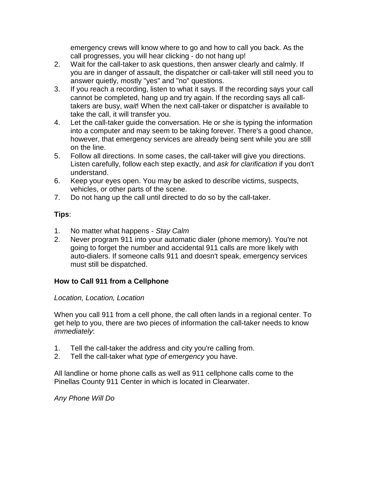emergency crews will know where to go and how to call you back. As the call progresses, you will hear clicking - do not hang up!

- 2. Wait for the call-taker to ask questions, then answer clearly and calmly. If you are in danger of assault, the dispatcher or call-taker will still need you to answer quietly, mostly "yes" and "no" questions.
- 3. If you reach a recording, listen to what it says. If the recording says your call cannot be completed, hang up and try again. If the recording says all calltakers are busy, *wait*! When the next call-taker or dispatcher is available to take the call, it will transfer you.
- 4. Let the call-taker guide the conversation. He or she is typing the information into a computer and may seem to be taking forever. There's a good chance, however, that emergency services are already being sent while you are still on the line.
- 5. Follow all directions. In some cases, the call-taker will give you directions. Listen carefully, follow each step exactly, and *ask for clarification* if you don't understand.
- 6. Keep your eyes open. You may be asked to describe victims, suspects, vehicles, or other parts of the scene.
- 7. Do not hang up the call until directed to do so by the call-taker.

# **Tips**:

- 1. No matter what happens *Stay Calm*
- 2. Never program 911 into your automatic dialer (phone memory). You're not going to forget the number and accidental 911 calls are more likely with auto-dialers. If someone calls 911 and doesn't speak, emergency services must still be dispatched.

# **How to Call 911 from a Cellphone**

## *Location, Location, Location*

When you call 911 from a cell phone, the call often lands in a regional center. To get help to you, there are two pieces of information the call-taker needs to know *immediately*:

- 1. Tell the call-taker the address and city you're calling from.
- 2. Tell the call-taker what *type of emergency* you have.

All landline or home phone calls as well as 911 cellphone calls come to the Pinellas County 911 Center in which is located in Clearwater.

*Any Phone Will Do*